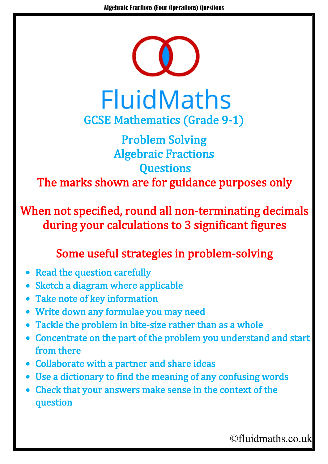

**FluidMaths** GCSE Mathematics (Grade 9-1)

## Problem Solving Algebraic Fractions **Questions** The marks shown are for guidance purposes only

When not specified, round all non-terminating decimals during your calculations to 3 significant figures

## Some useful strategies in problem-solving

- Read the question carefully
- Sketch a diagram where applicable
- Take note of key information
- Write down any formulae you may need
- Tackle the problem in bite-size rather than as a whole
- Concentrate on the part of the problem you understand and start from there
- Collaborate with a partner and share ideas
- Use a dictionary to find the meaning of any confusing words
- Check that your answers make sense in the context of the question

©fluidmaths.co.uk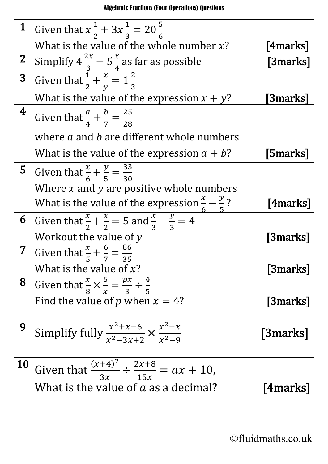## Algebraic Fractions (Four Operations) Questions

| 1                       | Given that $x\frac{1}{2} + 3x\frac{1}{3} = 20\frac{5}{6}$                                                           |                 |
|-------------------------|---------------------------------------------------------------------------------------------------------------------|-----------------|
|                         | What is the value of the whole number $x$ ?                                                                         | <b>4marks]</b>  |
| $\mathbf{2}$            |                                                                                                                     | [3marks]        |
| 3                       | Simplify $4\frac{2x}{3} + 5\frac{x}{4}$ as far as possible<br>Given that $\frac{1}{2} + \frac{x}{y} = 1\frac{2}{3}$ |                 |
|                         | What is the value of the expression $x + y$ ?                                                                       | <b>3marks</b> ] |
| $\overline{\mathbf{4}}$ | Given that $\frac{a}{4} + \frac{b}{7} = \frac{25}{28}$                                                              |                 |
|                         | where a and b are different whole numbers                                                                           |                 |
|                         | What is the value of the expression $a + b$ ?                                                                       | [5marks]        |
| 5                       | Given that $\frac{x}{6} + \frac{y}{5} = \frac{33}{30}$                                                              |                 |
|                         | Where $x$ and $y$ are positive whole numbers                                                                        |                 |
|                         | What is the value of the expression $\frac{x}{6} - \frac{y}{5}$ ?                                                   | [4marks]        |
| 6                       | Given that $\frac{x}{2} + \frac{x}{2} = 5$ and $\frac{x}{3} - \frac{y}{3} = 4$                                      |                 |
|                         | Workout the value of $y$                                                                                            | <b>[3marks]</b> |
| $\overline{7}$          | Given that $\frac{x}{5} + \frac{6}{7} = \frac{86}{35}$                                                              |                 |
|                         | What is the value of $x$ ?                                                                                          | 3marks]         |
| 8                       | Given that $\frac{x}{8} \times \frac{5}{x} = \frac{px}{3} \div \frac{4}{5}$                                         |                 |
|                         | Find the value of p when $x = 4$ ?                                                                                  | [3marks]        |
| 9                       | Simplify fully $\frac{x^2+x-6}{x^2-3x+2} \times \frac{x^2-x}{x^2-9}$                                                | [3marks]        |
| <b>10</b>               | Given that $\frac{(x+4)^2}{3x} \div \frac{2x+8}{15x} = ax + 10$ ,<br>What is the value of a as a decimal?           | [4marks]        |